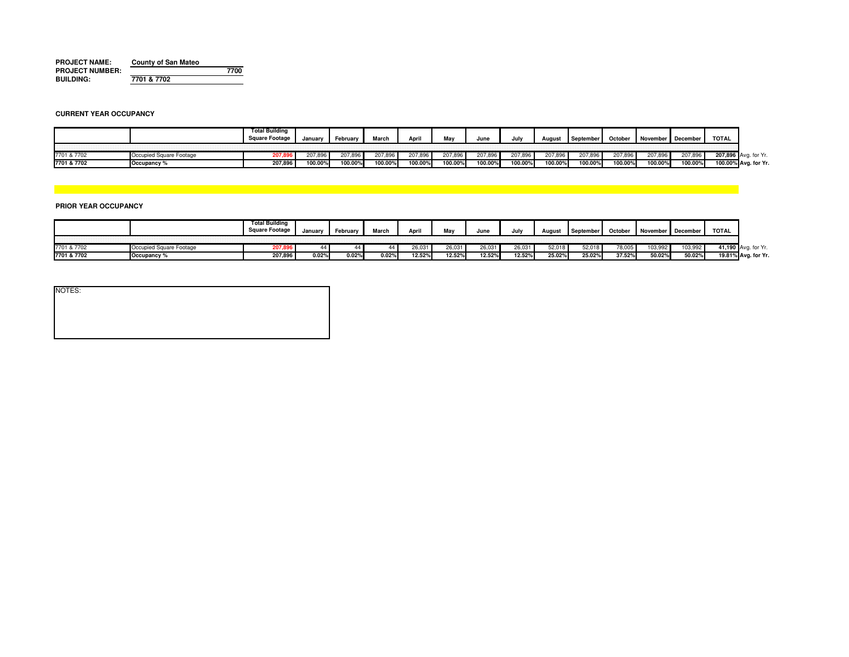| <b>PROJECT NAME:</b>   | <b>County of San Mateo</b> |      |
|------------------------|----------------------------|------|
| <b>PROJECT NUMBER:</b> |                            | 7700 |
| <b>BUILDING:</b>       | 7701 & 7702                |      |

### **CURRENT YEAR OCCUPANCY**

|             |             | Total Building<br>iuare Footage | Janua⊧  | Februan | March   | April   |                    | June    | la alba<br>JUIV | <b>August</b>  | Septembe. | October | November | December  | <b>TOTAL</b>                   |  |
|-------------|-------------|---------------------------------|---------|---------|---------|---------|--------------------|---------|-----------------|----------------|-----------|---------|----------|-----------|--------------------------------|--|
|             |             |                                 |         |         |         |         |                    |         |                 |                |           |         |          |           |                                |  |
| 7701 & 7702 | -ootage     |                                 |         | 207.OS  | 207,896 | 207,896 | <sup>ካ</sup> 7,896 | :07.891 | 207,896         | <b>207,896</b> | 207,896   | ່.໐ອ    | 207,896  | $-07,896$ | 207.896 Avg. for Yr.           |  |
| 7701 & 7702 | Occupancy ' | 207,896                         | 100.00% | 100.00% | 100.00% | 100.00% | 100.00%            | 100.00% | 100.00%         | 100.00%        | 100.00%   | 100.00% | 100.00   | 100.00%   | 100.00% Avg. for Yr.<br>$\sim$ |  |

# **PRIOR YEAR OCCUPANCY**

|                            | Total Building<br>→ Footage | <b>lanuary</b> | -ebruary | March | Δnr    | м.     | June   | Jul    | August | September | October      | November | December | TOTAL |                     |
|----------------------------|-----------------------------|----------------|----------|-------|--------|--------|--------|--------|--------|-----------|--------------|----------|----------|-------|---------------------|
|                            |                             |                |          |       |        |        |        |        |        |           |              |          |          |       |                     |
| 7701 & 7702                | <b>007.01</b><br>207,090    |                |          |       | 26,031 | 26,031 | 26,031 | 26,031 | 52,018 | 52,018    | <b>70.00</b> | 103.95   | 103,99   |       | t for Yr            |
| 7701 & 7702<br>Occupancy ' | 207,896                     | 0.02%          | J.02%    | 0.02% | 12.52% | 12.52% | 12.52% | 12.52% | 25.02% | 25.02%    | 37.52%       | 50.02%   | 50.02%   |       | 19.81% Avg. for Yr. |

| NOTES: |  |  |  |
|--------|--|--|--|
|        |  |  |  |
|        |  |  |  |
|        |  |  |  |
|        |  |  |  |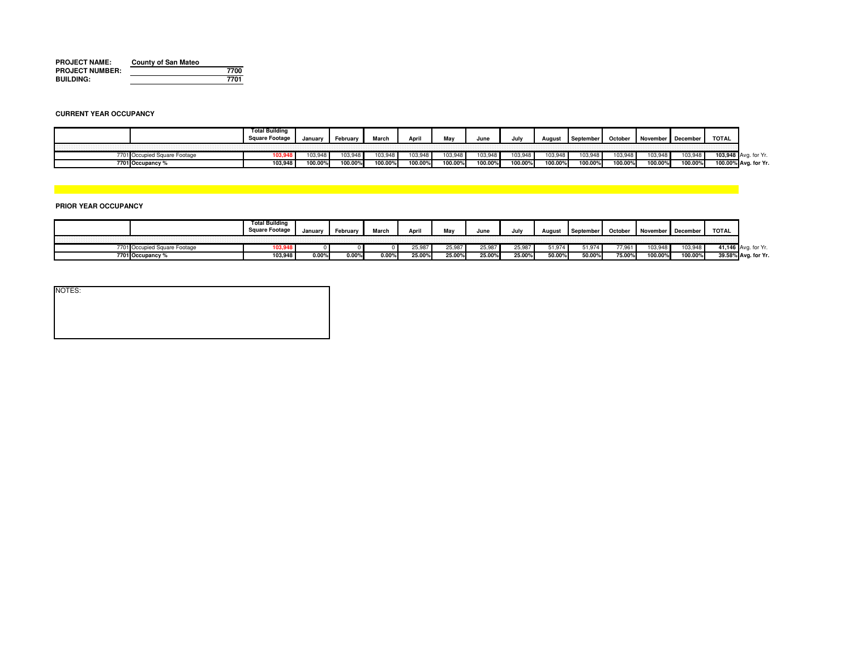| <b>PROJECT NAME:</b>   | <b>County of San Mateo</b> |      |
|------------------------|----------------------------|------|
| <b>PROJECT NUMBER:</b> |                            | 7700 |
| <b>BUILDING:</b>       |                            | 7701 |

### **CURRENT YEAR OCCUPANCY**

|                                    | ົ່າtal Building<br>re Footag | Januar  | ™ebruarv | March                 | April  |         | Jun     | Jul     | August  | Septembe | Octobe  | November December |         | <b>TOTAL</b>                  |  |
|------------------------------------|------------------------------|---------|----------|-----------------------|--------|---------|---------|---------|---------|----------|---------|-------------------|---------|-------------------------------|--|
| 7701 Occupied Sau<br>quare Footage |                              |         | 03.9     | <b>IN3 948</b><br>υυ, | 03,948 | 103.948 | 03,948  | 103.948 | 03,948  | 103.94   |         |                   | 103,948 | 103.948 Avg. for Yr.          |  |
| 7701 Occupancy                     | 103,948                      | 100.009 | 100.00%  | 100.00%               | 00.00% | 100.00% | 100.00% | 100.00% | 100.00% | 100.00%  | 100.00% | 100.00%           | 100.00% | 10000<br>100.00% Avg. for Yr. |  |

# **PRIOR YEAR OCCUPANCY**

|        |                  | <b>Total Building</b><br>uare Footage | Januai | February       | March. | Apr    |        | June   | Julv   | August           |        | October | November December |         | TOTAL |                     |
|--------|------------------|---------------------------------------|--------|----------------|--------|--------|--------|--------|--------|------------------|--------|---------|-------------------|---------|-------|---------------------|
|        |                  |                                       |        |                |        |        |        |        |        |                  |        |         |                   |         |       |                     |
| 7701 C |                  |                                       |        |                |        | 25,987 | 25,987 | 25,98  | 25,987 | 1.07<br>. ت ۱۰ ت | 1,974  | 77 QG   | 103,94            | ه دن    |       | for Yr              |
|        | 7701 Occupancy % | 103,948                               | 0.00   | $0.00^{\circ}$ | 0.00%  | 25.00% | 25.00% | 25.00% | 25.00% | 50.00%           | 50.00% | 75.00°  | 100.00            | 100.00% |       | 39.58% Avg. for Yr. |

| NOTES: |  |  |  |
|--------|--|--|--|
|        |  |  |  |
|        |  |  |  |
|        |  |  |  |
|        |  |  |  |